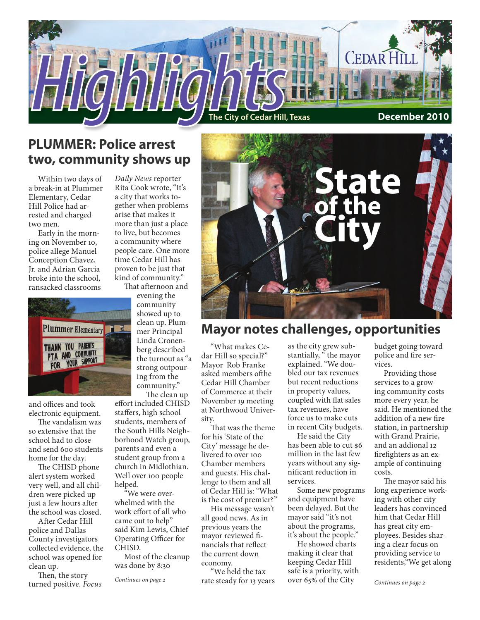

# **PLUMMER: Police arrest two, community shows up**

Within two days of a break-in at Plummer Elementary, Cedar Hill Police had arrested and charged two men.

Early in the morning on November 10, police allege Manuel Conception Chavez, Jr. and Adrian Garcia broke into the school, ransacked classrooms



and offices and took electronic equipment.

The vandalism was so extensive that the school had to close and send 600 students home for the day.

The CHISD phone alert system worked very well, and all children were picked up just a few hours after the school was closed.

After Cedar Hill police and Dallas County investigators collected evidence, the school was opened for clean up.

Then, the story turned positive. *Focus*

*Daily News* reporter Rita Cook wrote, "It's a city that works together when problems arise that makes it more than just a place to live, but becomes a community where people care. One more time Cedar Hill has proven to be just that kind of community." That afternoon and

evening the community showed up to clean up. Plummer Principal Linda Cronenberg described

the turnout as "a strong outpouring from the community." The clean up effort included CHISD

staffers, high school students, members of the South Hills Neighborhood Watch group, parents and even a student group from a church in Midlothian. Well over 100 people helped.

"We were overwhelmed with the work effort of all who came out to help" said Kim Lewis, Chief Operating Officer for CHISD.

Most of the cleanup was done by 8:30

*Continues on page 2*



### **Mayor notes challenges, opportunities**

"What makes Cedar Hill so special?" Mayor Rob Franke asked members ofthe Cedar Hill Chamber of Commerce at their November 19 meeting at Northwood University.

That was the theme for his 'State of the City' message he delivered to over 100 Chamber members and guests. His challenge to them and all of Cedar Hill is: "What is the cost of premier?"

His message wasn't all good news. As in previous years the mayor reviewed financials that reflect the current down economy.

"We held the tax rate steady for 13 years as the city grew substantially, "the mayor explained. "We doubled our tax revenues but recent reductions in property values, coupled with flat sales tax revenues, have force us to make cuts in recent City budgets.

He said the City has been able to cut \$6 million in the last few years without any significant reduction in services.

Some new programs and equipment have been delayed. But the mayor said "it's not about the programs, it's about the people."

He showed charts making it clear that keeping Cedar Hill safe is a priority, with over 65% of the City

budget going toward police and fire services.

Providing those services to a growing community costs more every year, he said. He mentioned the addition of a new fire station, in partnership with Grand Prairie, and an addional 12 firefighters as an example of continuing costs.

The mayor said his long experience working with other city leaders has convinced him that Cedar Hill has great city employees. Besides sharing a clear focus on providing service to residents,"We get along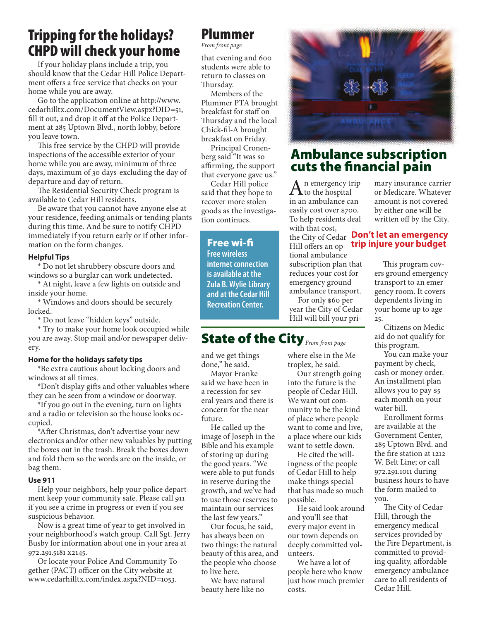# Tripping for the holidays? CHPD will check your home

If your holiday plans include a trip, you should know that the Cedar Hill Police Department offers a free service that checks on your home while you are away.

Go to the application online at http://www. cedarhilltx.com/DocumentView.aspx?DID=51, fill it out, and drop it off at the Police Department at 285 Uptown Blvd., north lobby, before you leave town.

This free service by the CHPD will provide inspections of the accessible exterior of your home while you are away, minimum of three days, maximum of 30 days-excluding the day of departure and day of return.

The Residential Security Check program is available to Cedar Hill residents.

Be aware that you cannot have anyone else at your residence, feeding animals or tending plants during this time. And be sure to notify CHPD immediately if you return early or if other information on the form changes.

#### **Helpful Tips**

\* Do not let shrubbery obscure doors and windows so a burglar can work undetected.

\* At night, leave a few lights on outside and inside your home.

\* Windows and doors should be securely locked.

\* Do not leave "hidden keys" outside.

\* Try to make your home look occupied while you are away. Stop mail and/or newspaper delivery.

#### **Home for the holidays safety tips**

\*Be extra cautious about locking doors and windows at all times.

\*Don't display gifts and other valuables where they can be seen from a window or doorway.

\*If you go out in the evening, turn on lights and a radio or television so the house looks occupied.

\*After Christmas, don't advertise your new electronics and/or other new valuables by putting the boxes out in the trash. Break the boxes down and fold them so the words are on the inside, or bag them.

#### **Use 911**

Help your neighbors, help your police department keep your community safe. Please call 911 if you see a crime in progress or even if you see suspicious behavior.

Now is a great time of year to get involved in your neighborhood's watch group. Call Sgt. Jerry Busby for information about one in your area at 972.291.5181 x2145.

Or locate your Police And Community Together (PACT) officer on the City website at www.cedarhilltx.com/index.aspx?NID=1053.

### Plummer

*From front page*

that evening and 600 students were able to return to classes on Thursday.

Members of the Plummer PTA brought breakfast for staff on Thursday and the local Chick-fil-A brought breakfast on Friday.

Principal Cronenberg said "It was so affirming, the support that everyone gave us."

Cedar Hill police said that they hope to recover more stolen goods as the investigation continues.

#### Free wi-fi

**Free wireless internet connection is available at the Zula B. Wylie Library and at the Cedar Hill Recreation Center.**

# State of the City<sub>From front page</sub>

and we get things done," he said.

Mayor Franke said we have been in a recession for several years and there is concern for the near future.

He called up the image of Joseph in the Bible and his example of storing up during the good years. "We were able to put funds in reserve during the growth, and we've had to use those reserves to maintain our services the last few years."

Our focus, he said, has always been on two things: the natural beauty of this area, and the people who choose to live here.

We have natural beauty here like no-



### Ambulance subscription cuts the financial pain

 $A_n$ <sup>n</sup> emergency trip<br>in an ambulance can in an ambulance can easily cost over \$700. To help residents deal with that cost, tional ambulance subscription plan that reduces your cost for emergency ground ambulance transport.

For only \$60 per year the City of Cedar Hill will bill your pri-

where else in the Metroplex, he said.

possible.

unteers.

costs.

Our strength going into the future is the people of Cedar Hill. We want out community to be the kind of place where people want to come and live, a place where our kids want to settle down. He cited the willingness of the people of Cedar Hill to help make things special that has made so much

He said look around

and you'll see that every major event in our town depends on deeply committed vol-

We have a lot of people here who know just how much premier mary insurance carrier or Medicare. Whatever amount is not covered by either one will be written off by the City.

#### the City of Cedar **Don't let an emergency**  Hill offers an op-**trip injure your budget**

This program covers ground emergency transport to an emergency room. It covers dependents living in your home up to age 25.

Citizens on Medicaid do not qualify for this program.

You can make your payment by check, cash or money order. An installment plan allows you to pay \$5 each month on your water bill.

Enrollment forms are available at the Government Center, 285 Uptown Blvd. and the fire station at 1212 W. Belt Line; or call 972.291.1011 during business hours to have the form mailed to you.

The City of Cedar Hill, through the emergency medical services provided by the Fire Department, is committed to providing quality, affordable emergency ambulance care to all residents of Cedar Hill.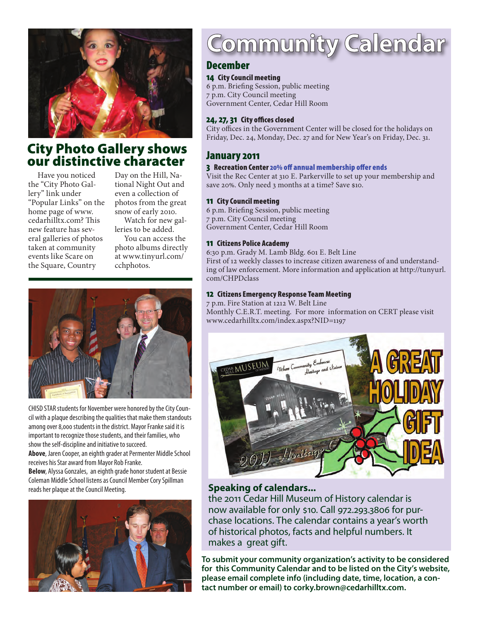

# City Photo Gallery shows our distinctive character

Have you noticed the "City Photo Gallery" link under "Popular Links" on the home page of www. cedarhilltx.com? This new feature has several galleries of photos taken at community events like Scare on the Square, Country

Day on the Hill, National Night Out and even a collection of photos from the great snow of early 2010.

Watch for new galleries to be added.

You can access the photo albums directly at www.tinyurl.com/ cchphotos.



CHISD STAR students for November were honored by the City Council with a plaque describing the qualities that make them standouts among over 8,000 students in the district. Mayor Franke said it is important to recognize those students, and their families, who show the self-discipline and initiative to succeed. **Above**, Jaren Cooper, an eighth grader at Permenter Middle School receives his Star award from Mayor Rob Franke.

**Below**, Alyssa Gonzales, an eighth grade honor student at Bessie Coleman Middle School listens as Council Member Cory Spillman reads her plaque at the Council Meeting.



# Community Calendar

#### December

#### 14 City Council meeting

6 p.m. Briefing Session, public meeting 7 p.m. City Council meeting Government Center, Cedar Hill Room

#### 24, 27, 31 City offices closed

City offices in the Government Center will be closed for the holidays on Friday, Dec. 24, Monday, Dec. 27 and for New Year's on Friday, Dec. 31.

#### January 2011

#### 3 Recreation Center 20% off annual membership offer ends

Visit the Rec Center at 310 E. Parkerville to set up your membership and save 20%. Only need 3 months at a time? Save \$10.

#### 11 City Council meeting

6 p.m. Briefing Session, public meeting 7 p.m. City Council meeting Government Center, Cedar Hill Room

#### 11 Citizens Police Academy

6:30 p.m. Grady M. Lamb Bldg. 601 E. Belt Line First of 12 weekly classes to increase citizen awareness of and understanding of law enforcement. More information and application at http://tunyurl. com/CHPDclass

#### 12 Citizens Emergency Response Team Meeting

7 p.m. Fire Station at 1212 W. Belt Line Monthly C.E.R.T. meeting. For more information on CERT please visit www.cedarhilltx.com/index.aspx?NID=1197



#### **Speaking of calendars...**

the 2011 Cedar Hill Museum of History calendar is now available for only \$10. Call 972.293.3806 for purchase locations. The calendar contains a year's worth of historical photos, facts and helpful numbers. It makes a great gift.

**To submit your community organization's activity to be considered for this Community Calendar and to be listed on the City's website, please email complete info (including date, time, location, a contact number or email) to corky.brown@cedarhilltx.com.**